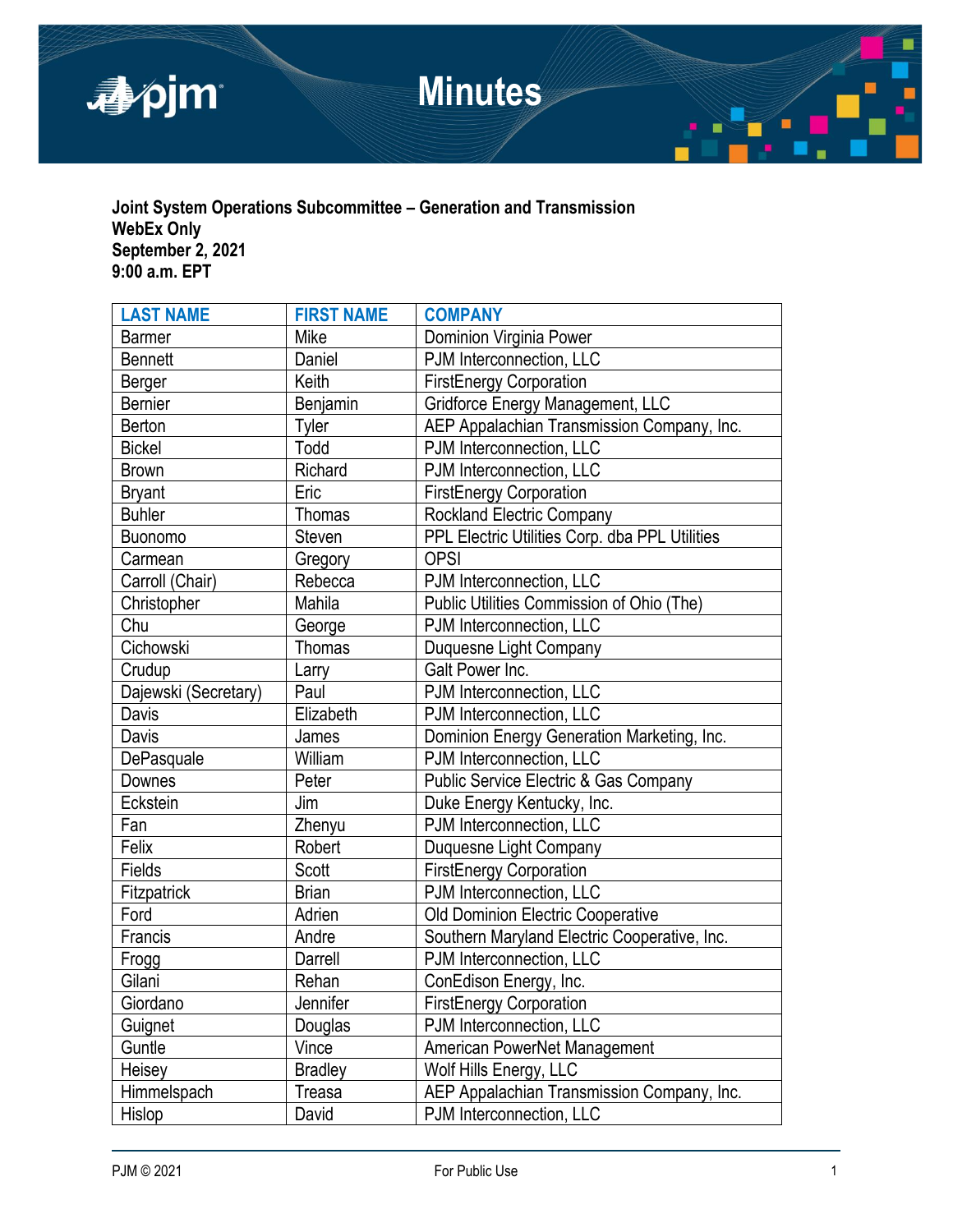

**Joint System Operations Subcommittee – Generation and Transmission WebEx Only September 2, 2021 9:00 a.m. EPT**

| <b>LAST NAME</b>     | <b>FIRST NAME</b> | <b>COMPANY</b>                                   |  |
|----------------------|-------------------|--------------------------------------------------|--|
| <b>Barmer</b>        | Mike              | Dominion Virginia Power                          |  |
| <b>Bennett</b>       | Daniel            | PJM Interconnection, LLC                         |  |
| Berger               | Keith             | <b>FirstEnergy Corporation</b>                   |  |
| <b>Bernier</b>       | Benjamin          | Gridforce Energy Management, LLC                 |  |
| Berton               | Tyler             | AEP Appalachian Transmission Company, Inc.       |  |
| <b>Bickel</b>        | Todd              | PJM Interconnection, LLC                         |  |
| <b>Brown</b>         | Richard           | PJM Interconnection, LLC                         |  |
| <b>Bryant</b>        | Eric              | <b>FirstEnergy Corporation</b>                   |  |
| <b>Buhler</b>        | <b>Thomas</b>     | <b>Rockland Electric Company</b>                 |  |
| <b>Buonomo</b>       | Steven            | PPL Electric Utilities Corp. dba PPL Utilities   |  |
| Carmean              | Gregory           | <b>OPSI</b>                                      |  |
| Carroll (Chair)      | Rebecca           | PJM Interconnection, LLC                         |  |
| Christopher          | Mahila            | Public Utilities Commission of Ohio (The)        |  |
| Chu                  | George            | PJM Interconnection, LLC                         |  |
| Cichowski            | <b>Thomas</b>     | Duquesne Light Company                           |  |
| Crudup               | Larry             | Galt Power Inc.                                  |  |
| Dajewski (Secretary) | Paul              | PJM Interconnection, LLC                         |  |
| Davis                | Elizabeth         | PJM Interconnection, LLC                         |  |
| Davis                | James             | Dominion Energy Generation Marketing, Inc.       |  |
| DePasquale           | William           | PJM Interconnection, LLC                         |  |
| Downes               | Peter             | <b>Public Service Electric &amp; Gas Company</b> |  |
| Eckstein             | Jim               | Duke Energy Kentucky, Inc.                       |  |
| Fan                  | Zhenyu            | PJM Interconnection, LLC                         |  |
| Felix                | Robert            | Duquesne Light Company                           |  |
| Fields               | Scott             | <b>FirstEnergy Corporation</b>                   |  |
| Fitzpatrick          | <b>Brian</b>      | PJM Interconnection, LLC                         |  |
| Ford                 | Adrien            | Old Dominion Electric Cooperative                |  |
| Francis              | Andre             | Southern Maryland Electric Cooperative, Inc.     |  |
| Frogg                | Darrell           | PJM Interconnection, LLC                         |  |
| Gilani               | Rehan             | ConEdison Energy, Inc.                           |  |
| Giordano             | Jennifer          | <b>FirstEnergy Corporation</b>                   |  |
| Guignet              | Douglas           | PJM Interconnection, LLC                         |  |
| Guntle               | Vince             | American PowerNet Management                     |  |
| Heisey               | <b>Bradley</b>    | Wolf Hills Energy, LLC                           |  |
| Himmelspach          | Treasa            | AEP Appalachian Transmission Company, Inc.       |  |
| Hislop               | David             | PJM Interconnection, LLC                         |  |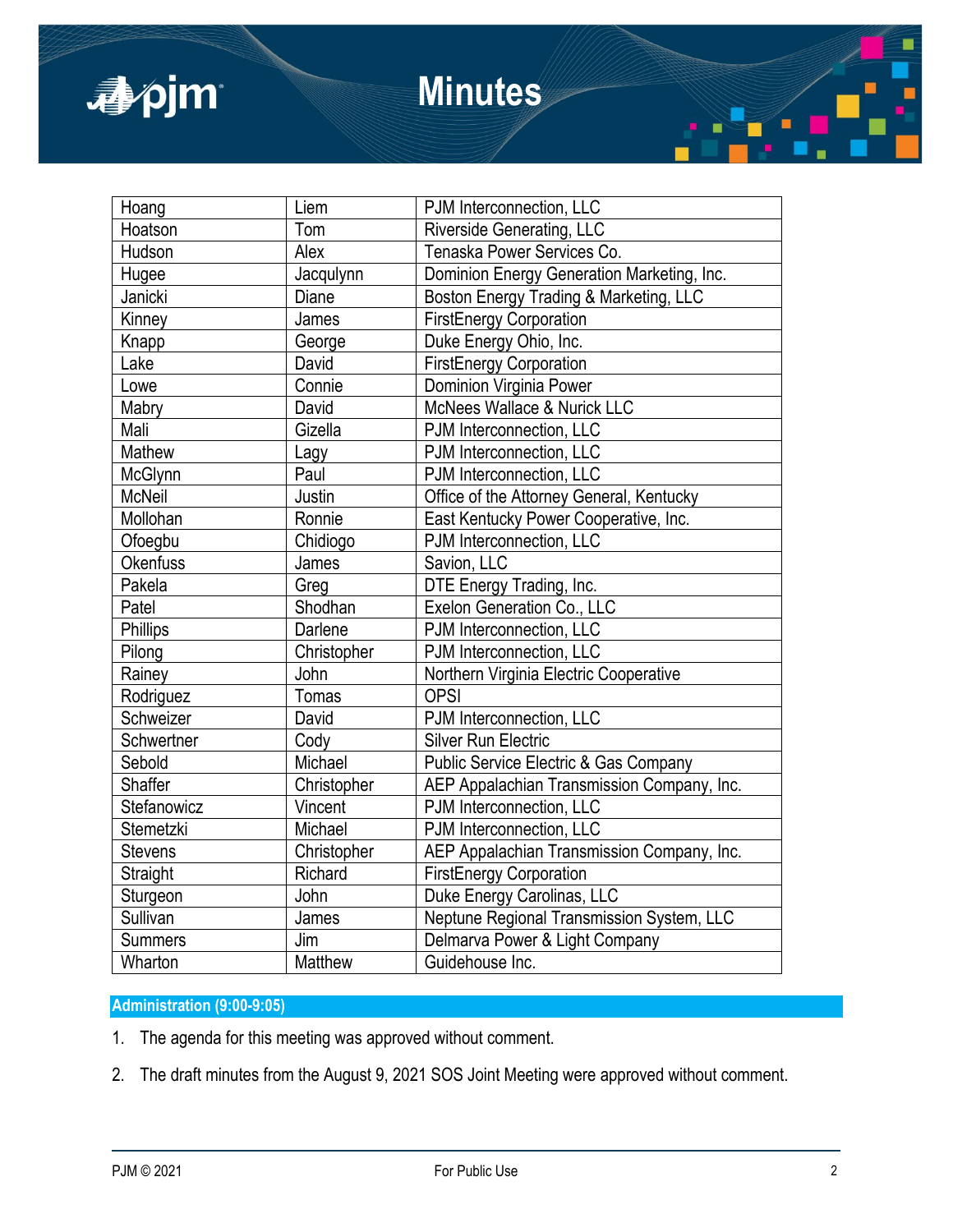

# **Minutes**

| Hoang           | Liem        | PJM Interconnection, LLC                   |
|-----------------|-------------|--------------------------------------------|
| Hoatson         | Tom         | <b>Riverside Generating, LLC</b>           |
| Hudson          | Alex        | Tenaska Power Services Co.                 |
| Hugee           | Jacqulynn   | Dominion Energy Generation Marketing, Inc. |
| Janicki         | Diane       | Boston Energy Trading & Marketing, LLC     |
| Kinney          | James       | <b>FirstEnergy Corporation</b>             |
| Knapp           | George      | Duke Energy Ohio, Inc.                     |
| Lake            | David       | <b>FirstEnergy Corporation</b>             |
| Lowe            | Connie      | Dominion Virginia Power                    |
| Mabry           | David       | McNees Wallace & Nurick LLC                |
| Mali            | Gizella     | PJM Interconnection, LLC                   |
| Mathew          | Lagy        | PJM Interconnection, LLC                   |
| McGlynn         | Paul        | PJM Interconnection, LLC                   |
| <b>McNeil</b>   | Justin      | Office of the Attorney General, Kentucky   |
| Mollohan        | Ronnie      | East Kentucky Power Cooperative, Inc.      |
| Ofoegbu         | Chidiogo    | PJM Interconnection, LLC                   |
| <b>Okenfuss</b> | James       | Savion, LLC                                |
| Pakela          | Greg        | DTE Energy Trading, Inc.                   |
| Patel           | Shodhan     | Exelon Generation Co., LLC                 |
| Phillips        | Darlene     | PJM Interconnection, LLC                   |
| Pilong          | Christopher | PJM Interconnection, LLC                   |
| Rainey          | John        | Northern Virginia Electric Cooperative     |
| Rodriguez       | Tomas       | <b>OPSI</b>                                |
| Schweizer       | David       | PJM Interconnection, LLC                   |
| Schwertner      | Cody        | <b>Silver Run Electric</b>                 |
| Sebold          | Michael     | Public Service Electric & Gas Company      |
| Shaffer         | Christopher | AEP Appalachian Transmission Company, Inc. |
| Stefanowicz     | Vincent     | PJM Interconnection, LLC                   |
| Stemetzki       | Michael     | PJM Interconnection, LLC                   |
| <b>Stevens</b>  | Christopher | AEP Appalachian Transmission Company, Inc. |
| Straight        | Richard     | <b>FirstEnergy Corporation</b>             |
| Sturgeon        | John        | Duke Energy Carolinas, LLC                 |
| Sullivan        | James       | Neptune Regional Transmission System, LLC  |
| <b>Summers</b>  | Jim         | Delmarva Power & Light Company             |
| Wharton         | Matthew     | Guidehouse Inc.                            |

## **Administration (9:00-9:05)**

- 1. The agenda for this meeting was approved without comment.
- 2. The draft minutes from the August 9, 2021 SOS Joint Meeting were approved without comment.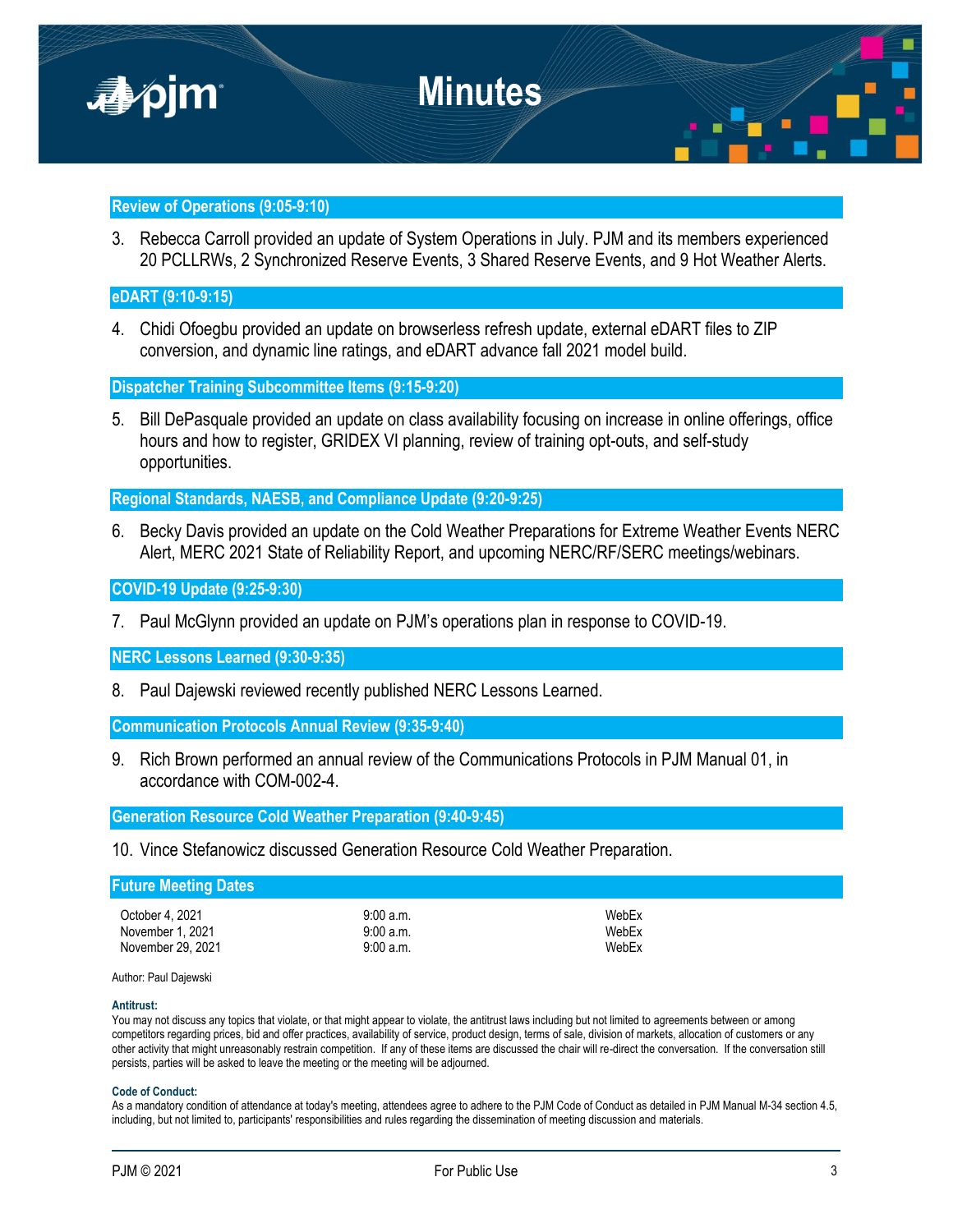

## **Review of Operations (9:05-9:10)**

3. Rebecca Carroll provided an update of System Operations in July. PJM and its members experienced 20 PCLLRWs, 2 Synchronized Reserve Events, 3 Shared Reserve Events, and 9 Hot Weather Alerts.

## **eDART (9:10-9:15)**

4. Chidi Ofoegbu provided an update on browserless refresh update, external eDART files to ZIP conversion, and dynamic line ratings, and eDART advance fall 2021 model build.

**Dispatcher Training Subcommittee Items (9:15-9:20)**

5. Bill DePasquale provided an update on class availability focusing on increase in online offerings, office hours and how to register, GRIDEX VI planning, review of training opt-outs, and self-study opportunities.

**Regional Standards, NAESB, and Compliance Update (9:20-9:25)**

6. Becky Davis provided an update on the Cold Weather Preparations for Extreme Weather Events NERC Alert, MERC 2021 State of Reliability Report, and upcoming NERC/RF/SERC meetings/webinars.

## **COVID-19 Update (9:25-9:30)**

7. Paul McGlynn provided an update on PJM's operations plan in response to COVID-19.

**NERC Lessons Learned (9:30-9:35)**

8. Paul Dajewski reviewed recently published NERC Lessons Learned.

**Communication Protocols Annual Review (9:35-9:40)**

9. Rich Brown performed an annual review of the Communications Protocols in PJM Manual 01, in accordance with COM-002-4.

**Generation Resource Cold Weather Preparation (9:40-9:45)**

10. Vince Stefanowicz discussed Generation Resource Cold Weather Preparation.

| <b>Future Meeting Dates</b> |          |       |  |  |
|-----------------------------|----------|-------|--|--|
| October 4, 2021             | 9:00a.m. | WebEx |  |  |
| November 1, 2021            | 9:00a.m. | WebEx |  |  |
| November 29, 2021           | 9:00a.m. | WebEx |  |  |

Author: Paul Dajewski

#### **Antitrust:**

You may not discuss any topics that violate, or that might appear to violate, the antitrust laws including but not limited to agreements between or among competitors regarding prices, bid and offer practices, availability of service, product design, terms of sale, division of markets, allocation of customers or any other activity that might unreasonably restrain competition. If any of these items are discussed the chair will re-direct the conversation. If the conversation still persists, parties will be asked to leave the meeting or the meeting will be adjourned.

#### **Code of Conduct:**

As a mandatory condition of attendance at today's meeting, attendees agree to adhere to the PJM Code of Conduct as detailed in PJM Manual M-34 section 4.5, including, but not limited to, participants' responsibilities and rules regarding the dissemination of meeting discussion and materials.